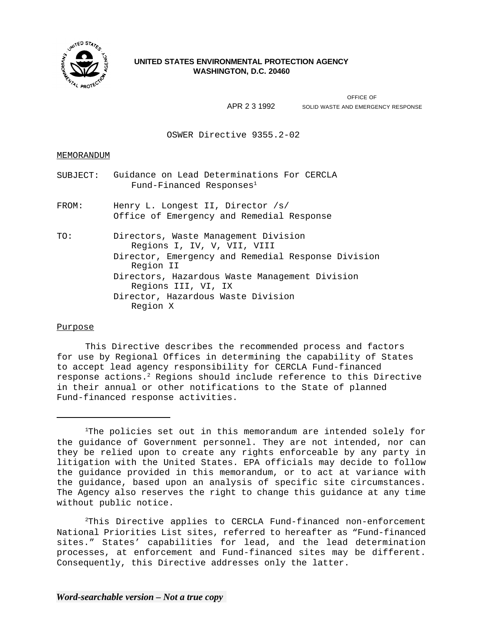

# **UNITED STATES ENVIRONMENTAL PROTECTION AGENCY WASHINGTON, D.C. 20460**

OFFICE OF APR 2 3 1992 SOLID WASTE AND EMERGENCY RESPONSE

OSWER Directive 9355.2-02

## MEMORANDUM

| SUBJECT: | Guidance on Lead Determinations For CERCLA<br>Fund-Financed Responses <sup>1</sup>                                                                                                       |
|----------|------------------------------------------------------------------------------------------------------------------------------------------------------------------------------------------|
| FROM:    | Henry L. Longest II, Director /s/<br>Office of Emergency and Remedial Response                                                                                                           |
| TO:      | Directors, Waste Management Division<br>Regions I, IV, V, VII, VIII<br>Director, Emergency and Remedial Response Division<br>Region II<br>Directors, Hazardous Waste Management Division |
|          | Regions III, VI, IX                                                                                                                                                                      |
|          | Director, Hazardous Waste Division<br>Region X                                                                                                                                           |

## Purpose

This Directive describes the recommended process and factors for use by Regional Offices in determining the capability of States to accept lead agency responsibility for CERCLA Fund-financed response actions.2 Regions should include reference to this Directive in their annual or other notifications to the State of planned Fund-financed response activities.

2This Directive applies to CERCLA Fund-financed non-enforcement National Priorities List sites, referred to hereafter as "Fund-financed sites." States' capabilities for lead, and the lead determination processes, at enforcement and Fund-financed sites may be different. Consequently, this Directive addresses only the latter.

<sup>&</sup>lt;sup>1</sup>The policies set out in this memorandum are intended solely for the guidance of Government personnel. They are not intended, nor can they be relied upon to create any rights enforceable by any party in litigation with the United States. EPA officials may decide to follow the guidance provided in this memorandum, or to act at variance with the guidance, based upon an analysis of specific site circumstances. The Agency also reserves the right to change this guidance at any time without public notice.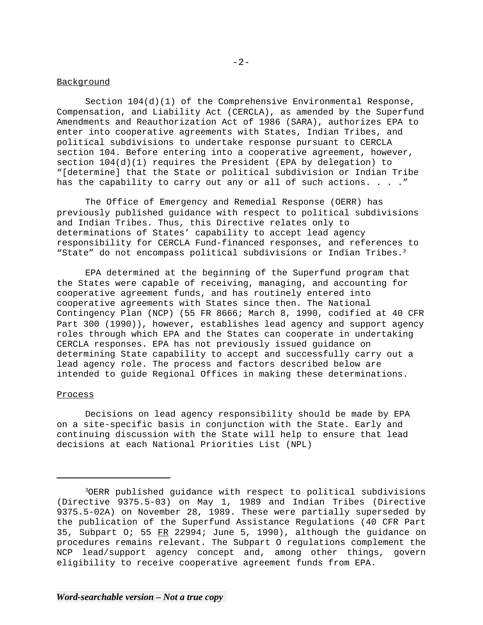## **Background**

Section  $104(d)(1)$  of the Comprehensive Environmental Response, Compensation, and Liability Act (CERCLA), as amended by the Superfund Amendments and Reauthorization Act of 1986 (SARA), authorizes EPA to enter into cooperative agreements with States, Indian Tribes, and political subdivisions to undertake response pursuant to CERCLA section 104. Before entering into a cooperative agreement, however, section  $104(d)(1)$  requires the President (EPA by delegation) to "[determine] that the State or political subdivision or Indian Tribe has the capability to carry out any or all of such actions. . . . "

The Office of Emergency and Remedial Response (OERR) has previously published guidance with respect to political subdivisions and Indian Tribes. Thus, this Directive relates only to determinations of States' capability to accept lead agency responsibility for CERCLA Fund-financed responses, and references to "State" do not encompass political subdivisions or Indian Tribes.<sup>3</sup>

EPA determined at the beginning of the Superfund program that the States were capable of receiving, managing, and accounting for cooperative agreement funds, and has routinely entered into cooperative agreements with States since then. The National Contingency Plan (NCP) (55 FR 8666; March 8, 1990, codified at 40 CFR Part 300 (1990)), however, establishes lead agency and support agency roles through which EPA and the States can cooperate in undertaking CERCLA responses. EPA has not previously issued guidance on determining State capability to accept and successfully carry out a lead agency role. The process and factors described below are intended to guide Regional Offices in making these determinations.

## Process

Decisions on lead agency responsibility should be made by EPA on a site-specific basis in conjunction with the State. Early and continuing discussion with the State will help to ensure that lead decisions at each National Priorities List (NPL)

<sup>3</sup>OERR published guidance with respect to political subdivisions (Directive 9375.5-03) on May 1, 1989 and Indian Tribes (Directive 9375.5-02A) on November 28, 1989. These were partially superseded by the publication of the Superfund Assistance Regulations (40 CFR Part 35, Subpart O; 55  $FR$  22994; June 5, 1990), although the guidance on procedures remains relevant. The Subpart O regulations complement the NCP lead/support agency concept and, among other things, govern eligibility to receive cooperative agreement funds from EPA.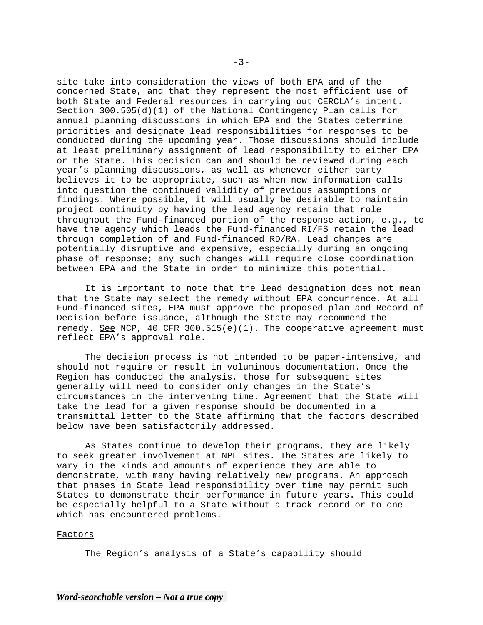site take into consideration the views of both EPA and of the concerned State, and that they represent the most efficient use of both State and Federal resources in carrying out CERCLA's intent. Section 300.505(d)(1) of the National Contingency Plan calls for annual planning discussions in which EPA and the States determine priorities and designate lead responsibilities for responses to be conducted during the upcoming year. Those discussions should include at least preliminary assignment of lead responsibility to either EPA or the State. This decision can and should be reviewed during each year's planning discussions, as well as whenever either party believes it to be appropriate, such as when new information calls into question the continued validity of previous assumptions or findings. Where possible, it will usually be desirable to maintain project continuity by having the lead agency retain that role throughout the Fund-financed portion of the response action, e.g., to have the agency which leads the Fund-financed RI/FS retain the lead through completion of and Fund-financed RD/RA. Lead changes are potentially disruptive and expensive, especially during an ongoing phase of response; any such changes will require close coordination between EPA and the State in order to minimize this potential.

It is important to note that the lead designation does not mean that the State may select the remedy without EPA concurrence. At all Fund-financed sites, EPA must approve the proposed plan and Record of Decision before issuance, although the State may recommend the remedy. See NCP, 40 CFR 300.515(e)(1). The cooperative agreement must reflect EPA's approval role.

The decision process is not intended to be paper-intensive, and should not require or result in voluminous documentation. Once the Region has conducted the analysis, those for subsequent sites generally will need to consider only changes in the State's circumstances in the intervening time. Agreement that the State will take the lead for a given response should be documented in a transmittal letter to the State affirming that the factors described below have been satisfactorily addressed.

As States continue to develop their programs, they are likely to seek greater involvement at NPL sites. The States are likely to vary in the kinds and amounts of experience they are able to demonstrate, with many having relatively new programs. An approach that phases in State lead responsibility over time may permit such States to demonstrate their performance in future years. This could be especially helpful to a State without a track record or to one which has encountered problems.

#### Factors

The Region's analysis of a State's capability should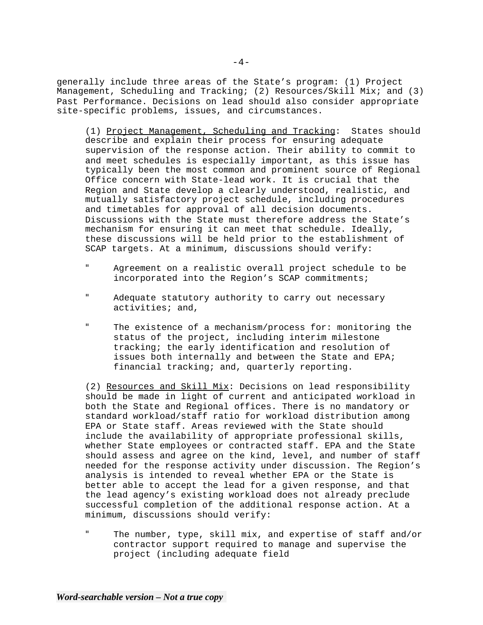generally include three areas of the State's program: (1) Project Management, Scheduling and Tracking; (2) Resources/Skill Mix; and (3) Past Performance. Decisions on lead should also consider appropriate site-specific problems, issues, and circumstances.

(1) Project Management, Scheduling and Tracking: States should describe and explain their process for ensuring adequate supervision of the response action. Their ability to commit to and meet schedules is especially important, as this issue has typically been the most common and prominent source of Regional Office concern with State-lead work. It is crucial that the Region and State develop a clearly understood, realistic, and mutually satisfactory project schedule, including procedures and timetables for approval of all decision documents. Discussions with the State must therefore address the State's mechanism for ensuring it can meet that schedule. Ideally, these discussions will be held prior to the establishment of SCAP targets. At a minimum, discussions should verify:

- " Agreement on a realistic overall project schedule to be incorporated into the Region's SCAP commitments;
- " Adequate statutory authority to carry out necessary activities; and,
- " The existence of a mechanism/process for: monitoring the status of the project, including interim milestone tracking; the early identification and resolution of issues both internally and between the State and EPA; financial tracking; and, quarterly reporting.

(2) Resources and Skill Mix: Decisions on lead responsibility should be made in light of current and anticipated workload in both the State and Regional offices. There is no mandatory or standard workload/staff ratio for workload distribution among EPA or State staff. Areas reviewed with the State should include the availability of appropriate professional skills, whether State employees or contracted staff. EPA and the State should assess and agree on the kind, level, and number of staff needed for the response activity under discussion. The Region's analysis is intended to reveal whether EPA or the State is better able to accept the lead for a given response, and that the lead agency's existing workload does not already preclude successful completion of the additional response action. At a minimum, discussions should verify:

" The number, type, skill mix, and expertise of staff and/or contractor support required to manage and supervise the project (including adequate field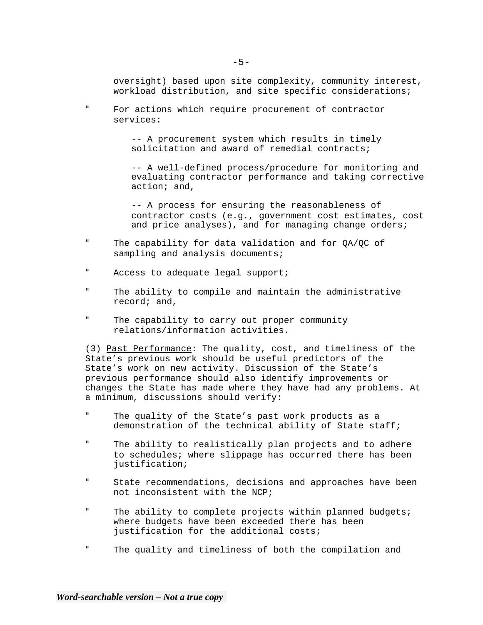oversight) based upon site complexity, community interest, workload distribution, and site specific considerations;

" For actions which require procurement of contractor services:

> -- A procurement system which results in timely solicitation and award of remedial contracts;

-- A well-defined process/procedure for monitoring and evaluating contractor performance and taking corrective action; and,

-- A process for ensuring the reasonableness of contractor costs (e.g., government cost estimates, cost and price analyses), and for managing change orders;

- " The capability for data validation and for QA/QC of sampling and analysis documents;
- " Access to adequate legal support;
- " The ability to compile and maintain the administrative record; and,
- " The capability to carry out proper community relations/information activities.

(3) Past Performance: The quality, cost, and timeliness of the State's previous work should be useful predictors of the State's work on new activity. Discussion of the State's previous performance should also identify improvements or changes the State has made where they have had any problems. At a minimum, discussions should verify:

- " The quality of the State's past work products as a demonstration of the technical ability of State staff;
- " The ability to realistically plan projects and to adhere to schedules; where slippage has occurred there has been justification;
- " State recommendations, decisions and approaches have been not inconsistent with the NCP;
- " The ability to complete projects within planned budgets; where budgets have been exceeded there has been justification for the additional costs;
- " The quality and timeliness of both the compilation and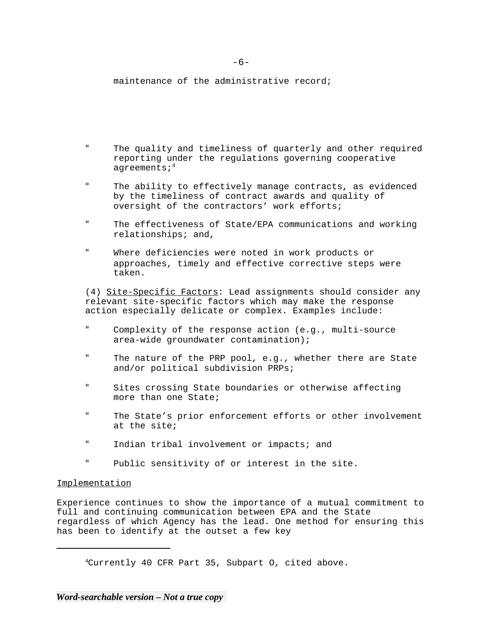maintenance of the administrative record;

- " The quality and timeliness of quarterly and other required reporting under the regulations governing cooperative agreements;<sup>4</sup>
- " The ability to effectively manage contracts, as evidenced by the timeliness of contract awards and quality of oversight of the contractors' work efforts;
- " The effectiveness of State/EPA communications and working relationships; and,
- " Where deficiencies were noted in work products or approaches, timely and effective corrective steps were taken.

(4) Site-Specific Factors: Lead assignments should consider any relevant site-specific factors which may make the response action especially delicate or complex. Examples include:

- " Complexity of the response action (e.g., multi-source area-wide groundwater contamination);
- " The nature of the PRP pool, e.g., whether there are State and/or political subdivision PRPs;
- " Sites crossing State boundaries or otherwise affecting more than one State;
- " The State's prior enforcement efforts or other involvement at the site;
- " Indian tribal involvement or impacts; and
- " Public sensitivity of or interest in the site.

#### Implementation

Experience continues to show the importance of a mutual commitment to full and continuing communication between EPA and the State regardless of which Agency has the lead. One method for ensuring this has been to identify at the outset a few key

4Currently 40 CFR Part 35, Subpart O, cited above.